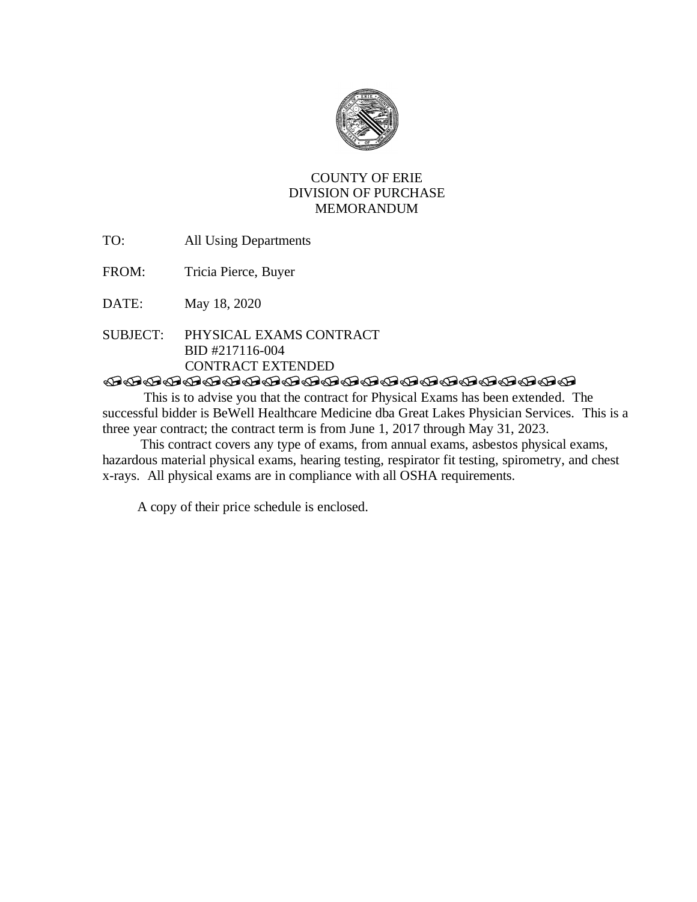

# COUNTY OF ERIE DIVISION OF PURCHASE MEMORANDUM

- TO: All Using Departments
- FROM: Tricia Pierce, Buyer

DATE: May 18, 2020

SUBJECT: PHYSICAL EXAMS CONTRACT BID #217116-004 CONTRACT EXTENDED

# **TRADERATARADARARADARADAR**

This is to advise you that the contract for Physical Exams has been extended. The successful bidder is BeWell Healthcare Medicine dba Great Lakes Physician Services. This is a three year contract; the contract term is from June 1, 2017 through May 31, 2023.

 This contract covers any type of exams, from annual exams, asbestos physical exams, hazardous material physical exams, hearing testing, respirator fit testing, spirometry, and chest x-rays. All physical exams are in compliance with all OSHA requirements.

A copy of their price schedule is enclosed.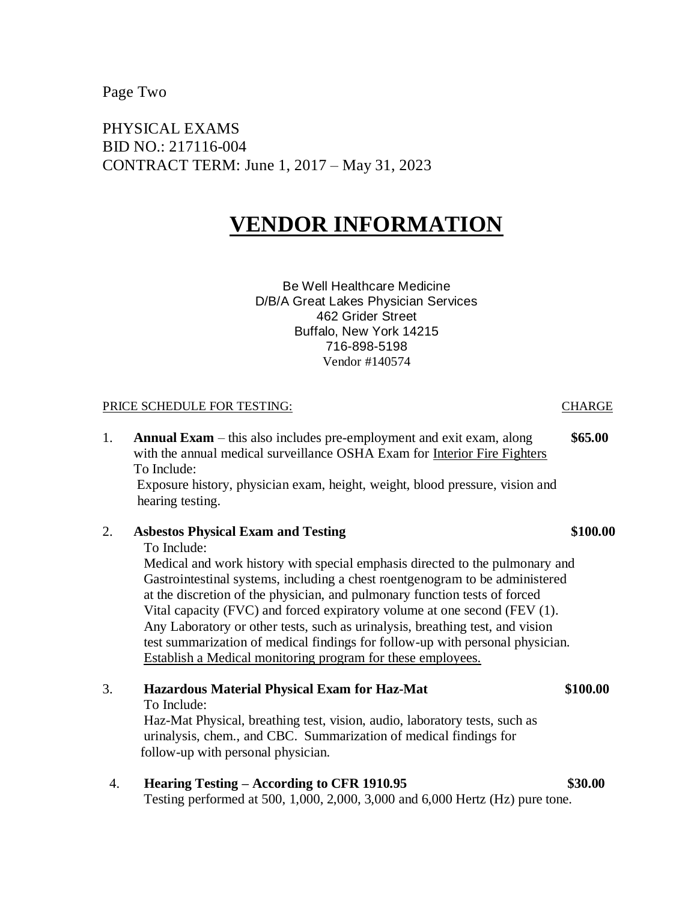Page Two

PHYSICAL EXAMS BID NO.: 217116-004 CONTRACT TERM: June 1, 2017 – May 31, 2023

# **VENDOR INFORMATION**

Be Well Healthcare Medicine D/B/A Great Lakes Physician Services 462 Grider Street Buffalo, New York 14215 716-898-5198 Vendor #140574

### PRICE SCHEDULE FOR TESTING: THE SERVICE SCHEDULE FOR TESTING:

1. **Annual Exam** – this also includes pre-employment and exit exam, along **\$65.00** with the annual medical surveillance OSHA Exam for Interior Fire Fighters To Include:

 Exposure history, physician exam, height, weight, blood pressure, vision and hearing testing.

## 2. **Asbestos Physical Exam and Testing \$100.00**

To Include:

Medical and work history with special emphasis directed to the pulmonary and Gastrointestinal systems, including a chest roentgenogram to be administered at the discretion of the physician, and pulmonary function tests of forced Vital capacity (FVC) and forced expiratory volume at one second (FEV (1). Any Laboratory or other tests, such as urinalysis, breathing test, and vision test summarization of medical findings for follow-up with personal physician. Establish a Medical monitoring program for these employees.

3. **Hazardous Material Physical Exam for Haz-Mat \$100.00** To Include:

Haz-Mat Physical, breathing test, vision, audio, laboratory tests, such as urinalysis, chem., and CBC. Summarization of medical findings for follow-up with personal physician.

4. **Hearing Testing – According to CFR 1910.95 \$30.00** Testing performed at 500, 1,000, 2,000, 3,000 and 6,000 Hertz (Hz) pure tone.